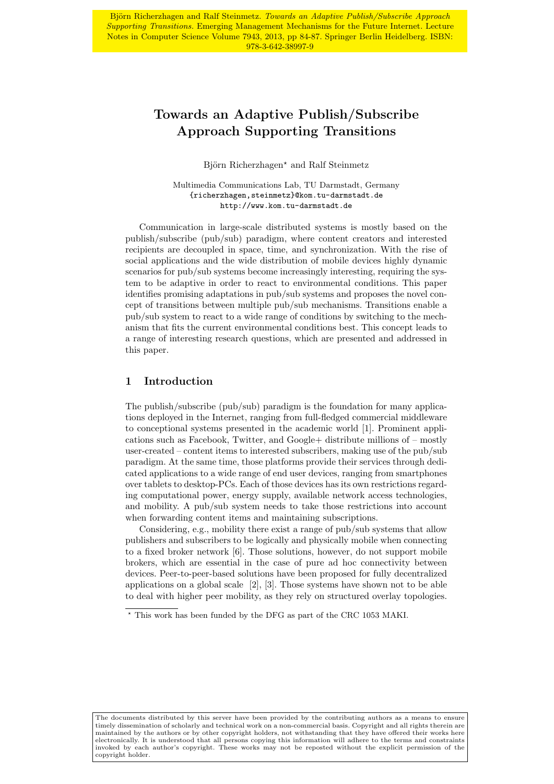# Towards an Adaptive Publish/Subscribe Approach Supporting Transitions

Björn Richerzhagen<sup>\*</sup> and Ralf Steinmetz

Multimedia Communications Lab, TU Darmstadt, Germany {richerzhagen,steinmetz}@kom.tu-darmstadt.de http://www.kom.tu-darmstadt.de

Communication in large-scale distributed systems is mostly based on the publish/subscribe (pub/sub) paradigm, where content creators and interested recipients are decoupled in space, time, and synchronization. With the rise of social applications and the wide distribution of mobile devices highly dynamic scenarios for pub/sub systems become increasingly interesting, requiring the system to be adaptive in order to react to environmental conditions. This paper identifies promising adaptations in pub/sub systems and proposes the novel concept of transitions between multiple pub/sub mechanisms. Transitions enable a pub/sub system to react to a wide range of conditions by switching to the mechanism that fits the current environmental conditions best. This concept leads to a range of interesting research questions, which are presented and addressed in this paper.

# 1 Introduction

The publish/subscribe (pub/sub) paradigm is the foundation for many applications deployed in the Internet, ranging from full-fledged commercial middleware to conceptional systems presented in the academic world [1]. Prominent applications such as Facebook, Twitter, and Google+ distribute millions of – mostly user-created – content items to interested subscribers, making use of the pub/sub paradigm. At the same time, those platforms provide their services through dedicated applications to a wide range of end user devices, ranging from smartphones over tablets to desktop-PCs. Each of those devices has its own restrictions regarding computational power, energy supply, available network access technologies, and mobility. A pub/sub system needs to take those restrictions into account when forwarding content items and maintaining subscriptions.

Considering, e.g., mobility there exist a range of pub/sub systems that allow publishers and subscribers to be logically and physically mobile when connecting to a fixed broker network [6]. Those solutions, however, do not support mobile brokers, which are essential in the case of pure ad hoc connectivity between devices. Peer-to-peer-based solutions have been proposed for fully decentralized applications on a global scale [2], [3]. Those systems have shown not to be able to deal with higher peer mobility, as they rely on structured overlay topologies.

 $^{\star}$  This work has been funded by the DFG as part of the CRC 1053 MAKI.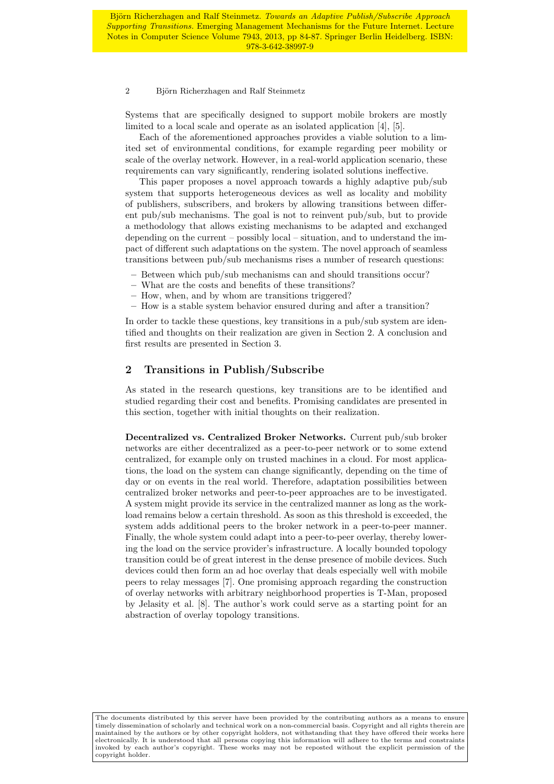#### 2 Björn Richerzhagen and Ralf Steinmetz

Systems that are specifically designed to support mobile brokers are mostly limited to a local scale and operate as an isolated application [4], [5].

Each of the aforementioned approaches provides a viable solution to a limited set of environmental conditions, for example regarding peer mobility or scale of the overlay network. However, in a real-world application scenario, these requirements can vary significantly, rendering isolated solutions ineffective.

This paper proposes a novel approach towards a highly adaptive pub/sub system that supports heterogeneous devices as well as locality and mobility of publishers, subscribers, and brokers by allowing transitions between different pub/sub mechanisms. The goal is not to reinvent pub/sub, but to provide a methodology that allows existing mechanisms to be adapted and exchanged depending on the current – possibly local – situation, and to understand the impact of different such adaptations on the system. The novel approach of seamless transitions between pub/sub mechanisms rises a number of research questions:

- Between which pub/sub mechanisms can and should transitions occur?
- What are the costs and benefits of these transitions?
- How, when, and by whom are transitions triggered?
- How is a stable system behavior ensured during and after a transition?

In order to tackle these questions, key transitions in a pub/sub system are identified and thoughts on their realization are given in Section 2. A conclusion and first results are presented in Section 3.

# 2 Transitions in Publish/Subscribe

As stated in the research questions, key transitions are to be identified and studied regarding their cost and benefits. Promising candidates are presented in this section, together with initial thoughts on their realization.

Decentralized vs. Centralized Broker Networks. Current pub/sub broker networks are either decentralized as a peer-to-peer network or to some extend centralized, for example only on trusted machines in a cloud. For most applications, the load on the system can change significantly, depending on the time of day or on events in the real world. Therefore, adaptation possibilities between centralized broker networks and peer-to-peer approaches are to be investigated. A system might provide its service in the centralized manner as long as the workload remains below a certain threshold. As soon as this threshold is exceeded, the system adds additional peers to the broker network in a peer-to-peer manner. Finally, the whole system could adapt into a peer-to-peer overlay, thereby lowering the load on the service provider's infrastructure. A locally bounded topology transition could be of great interest in the dense presence of mobile devices. Such devices could then form an ad hoc overlay that deals especially well with mobile peers to relay messages [7]. One promising approach regarding the construction of overlay networks with arbitrary neighborhood properties is T-Man, proposed by Jelasity et al. [8]. The author's work could serve as a starting point for an abstraction of overlay topology transitions.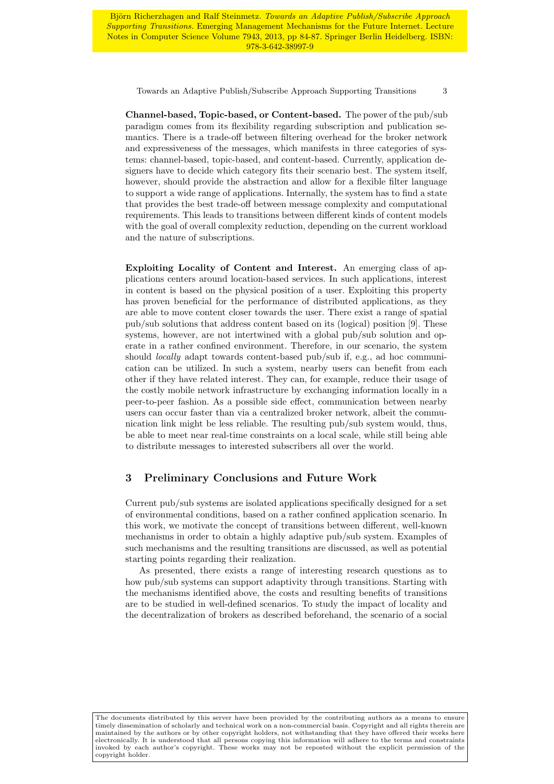Towards an Adaptive Publish/Subscribe Approach Supporting Transitions 3

Channel-based, Topic-based, or Content-based. The power of the pub/sub paradigm comes from its flexibility regarding subscription and publication semantics. There is a trade-off between filtering overhead for the broker network and expressiveness of the messages, which manifests in three categories of systems: channel-based, topic-based, and content-based. Currently, application designers have to decide which category fits their scenario best. The system itself, however, should provide the abstraction and allow for a flexible filter language to support a wide range of applications. Internally, the system has to find a state that provides the best trade-off between message complexity and computational requirements. This leads to transitions between different kinds of content models with the goal of overall complexity reduction, depending on the current workload and the nature of subscriptions.

Exploiting Locality of Content and Interest. An emerging class of applications centers around location-based services. In such applications, interest in content is based on the physical position of a user. Exploiting this property has proven beneficial for the performance of distributed applications, as they are able to move content closer towards the user. There exist a range of spatial pub/sub solutions that address content based on its (logical) position [9]. These systems, however, are not intertwined with a global pub/sub solution and operate in a rather confined environment. Therefore, in our scenario, the system should *locally* adapt towards content-based pub/sub if, e.g., ad hoc communication can be utilized. In such a system, nearby users can benefit from each other if they have related interest. They can, for example, reduce their usage of the costly mobile network infrastructure by exchanging information locally in a peer-to-peer fashion. As a possible side effect, communication between nearby users can occur faster than via a centralized broker network, albeit the communication link might be less reliable. The resulting pub/sub system would, thus, be able to meet near real-time constraints on a local scale, while still being able to distribute messages to interested subscribers all over the world.

### 3 Preliminary Conclusions and Future Work

Current pub/sub systems are isolated applications specifically designed for a set of environmental conditions, based on a rather confined application scenario. In this work, we motivate the concept of transitions between different, well-known mechanisms in order to obtain a highly adaptive pub/sub system. Examples of such mechanisms and the resulting transitions are discussed, as well as potential starting points regarding their realization.

As presented, there exists a range of interesting research questions as to how pub/sub systems can support adaptivity through transitions. Starting with the mechanisms identified above, the costs and resulting benefits of transitions are to be studied in well-defined scenarios. To study the impact of locality and the decentralization of brokers as described beforehand, the scenario of a social